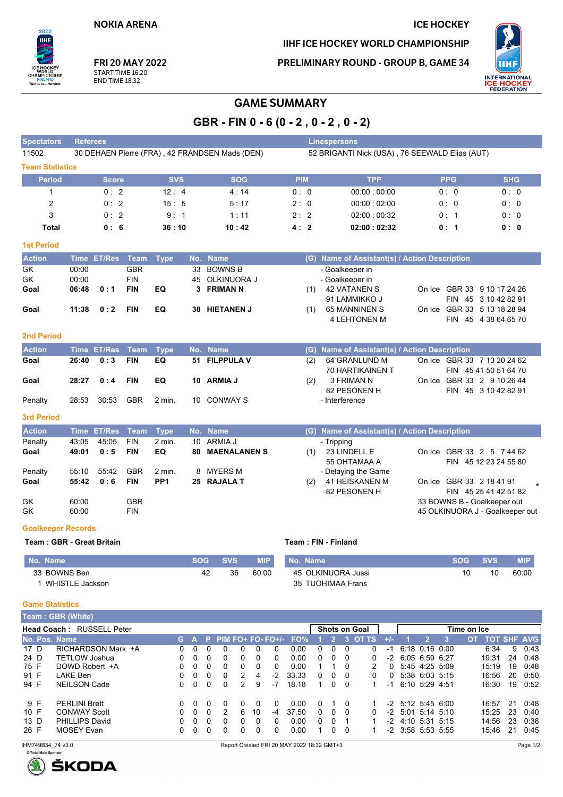**NOKIA ARENA** 

**FRI 20 MAY 2022** 

START TIME 16:20

**END TIME 18:32** 

 $2025$ 

Tampere - Helsinki

,<br>SHIP

CHAM

## IIHF ICE HOCKEY WORLD CHAMPIONSHIP

**ICE HOCKEY** 

PRELIMINARY ROUND - GROUP B, GAME 34



## **GAME SUMMARY**

GBR - FIN 0 - 6 (0 - 2, 0 - 2, 0 - 2)

| <b>Spectators</b>                                | <b>Referees</b><br><b>Linespersons</b>         |                    |             |                 |                   |                  |                     |                     |            |              |                                            |                                                                                           |                                                                   |                                      |         |                             |  |                                               |                         |            |                                                     |                             |              |  |
|--------------------------------------------------|------------------------------------------------|--------------------|-------------|-----------------|-------------------|------------------|---------------------|---------------------|------------|--------------|--------------------------------------------|-------------------------------------------------------------------------------------------|-------------------------------------------------------------------|--------------------------------------|---------|-----------------------------|--|-----------------------------------------------|-------------------------|------------|-----------------------------------------------------|-----------------------------|--------------|--|
| 11502                                            | 30 DEHAEN Pierre (FRA), 42 FRANDSEN Mads (DEN) |                    |             |                 |                   |                  |                     |                     |            |              |                                            |                                                                                           | 52 BRIGANTI Nick (USA), 76 SEEWALD Elias (AUT)                    |                                      |         |                             |  |                                               |                         |            |                                                     |                             |              |  |
|                                                  | <b>Team Statistics</b>                         |                    |             |                 |                   |                  |                     |                     |            |              |                                            |                                                                                           |                                                                   |                                      |         |                             |  |                                               |                         |            |                                                     |                             |              |  |
| <b>Period</b>                                    |                                                | <b>Score</b>       |             | <b>SVS</b>      |                   |                  |                     | <b>SOG</b>          |            |              | <b>PIM</b>                                 |                                                                                           |                                                                   |                                      |         | <b>TPP</b>                  |  |                                               | <b>PPG</b>              |            |                                                     | <b>SHG</b>                  |              |  |
| 1                                                |                                                | 0:2                |             | 12:4            |                   |                  | 4:14                |                     |            |              |                                            | 0:0<br>00:00:00:00                                                                        |                                                                   |                                      |         |                             |  | 0:0<br>0:0                                    |                         |            |                                                     |                             |              |  |
| $\overline{2}$                                   |                                                | 0:2                |             | 15:5            |                   |                  | 5:17                |                     |            |              |                                            | 2:0                                                                                       | 00:00:02:00                                                       |                                      |         |                             |  | 0: 0<br>0:0                                   |                         |            |                                                     |                             |              |  |
| 3                                                |                                                | 0:2                |             | 9:1             |                   |                  | 1:11                |                     |            |              | 2:2                                        |                                                                                           |                                                                   |                                      |         | 02:00:00:32                 |  |                                               | 0:1                     |            |                                                     | 0:0                         |              |  |
| <b>Total</b>                                     |                                                | 0:6                |             | 36:10           |                   |                  |                     | 10:42               |            |              | 4:2                                        |                                                                                           |                                                                   |                                      |         | 02:00:02:32                 |  |                                               | 0: 1                    |            |                                                     | 0: 0                        |              |  |
| <b>1st Period</b>                                |                                                |                    |             |                 |                   |                  |                     |                     |            |              |                                            |                                                                                           |                                                                   |                                      |         |                             |  |                                               |                         |            |                                                     |                             |              |  |
| <b>Action</b>                                    |                                                | Time ET/Res Team   |             | <b>Type</b>     |                   | No. Name         |                     |                     |            |              |                                            |                                                                                           |                                                                   |                                      |         |                             |  | (G) Name of Assistant(s) / Action Description |                         |            |                                                     |                             |              |  |
| GK                                               | 00:00                                          |                    | <b>GBR</b>  |                 | 33                |                  | <b>BOWNS B</b>      |                     |            |              |                                            |                                                                                           |                                                                   | - Goalkeeper in                      |         |                             |  |                                               |                         |            |                                                     |                             |              |  |
| GK                                               | 00:00                                          |                    | <b>FIN</b>  |                 | 45                |                  | OLKINUORA J         |                     |            |              |                                            |                                                                                           |                                                                   | - Goalkeeper in                      |         |                             |  |                                               |                         |            |                                                     |                             |              |  |
| Goal                                             | 06:48                                          | 0:1                | <b>FIN</b>  | EQ              |                   |                  | 3 FRIMAN N          |                     |            |              |                                            | (1)                                                                                       |                                                                   | <b>42 VATANEN S</b><br>91 LAMMIKKO J |         |                             |  |                                               |                         |            | On Ice GBR 33 9 10 17 24 26<br>FIN 45 3 10 42 82 91 |                             |              |  |
| Goal                                             | 11:38                                          | 0:2                | <b>FIN</b>  | EQ              |                   |                  | 38 HIETANEN J       |                     |            |              |                                            | (1)                                                                                       |                                                                   | 65 MANNINEN S                        |         |                             |  |                                               |                         |            | On Ice GBR 33 5 13 18 28 94                         |                             |              |  |
|                                                  |                                                |                    |             |                 |                   |                  |                     |                     |            |              |                                            |                                                                                           |                                                                   | <b>4 LEHTONEN M</b>                  |         |                             |  |                                               |                         |            | FIN 45 4 38 64 65 70                                |                             |              |  |
| <b>2nd Period</b>                                |                                                |                    |             |                 |                   |                  |                     |                     |            |              |                                            |                                                                                           |                                                                   |                                      |         |                             |  |                                               |                         |            |                                                     |                             |              |  |
| <b>Action</b>                                    |                                                | Time ET/Res        | Team        | <b>Type</b>     |                   | No. Name         |                     |                     |            |              |                                            |                                                                                           |                                                                   |                                      |         |                             |  | (G) Name of Assistant(s) / Action Description |                         |            |                                                     |                             |              |  |
| Goal                                             | 26:40                                          | 0:3                | <b>FIN</b>  | EQ              | 51                |                  | <b>FILPPULA V</b>   |                     |            |              |                                            | (2)                                                                                       |                                                                   |                                      |         | 64 GRANLUND M               |  |                                               |                         |            |                                                     | On Ice GBR 33 7 13 20 24 62 |              |  |
|                                                  |                                                |                    |             |                 |                   |                  |                     |                     |            |              |                                            |                                                                                           |                                                                   |                                      |         | 70 HARTIKAINEN T            |  |                                               |                         |            | FIN 45 41 50 51 64 70                               |                             |              |  |
| Goal                                             | 28:27                                          | 0:4                | <b>FIN</b>  | EQ              |                   |                  | 10 ARMIA J          |                     |            |              |                                            | (2)                                                                                       |                                                                   | 3 FRIMAN N                           |         |                             |  |                                               |                         |            | On Ice GBR 33 2 9 10 26 44                          |                             |              |  |
|                                                  |                                                |                    |             |                 |                   |                  |                     |                     |            |              | 82 PESONEN H                               |                                                                                           |                                                                   |                                      |         |                             |  |                                               |                         |            | FIN 45 3 10 42 82 91                                |                             |              |  |
| Penalty                                          | 28:53                                          | 30:53              | <b>GBR</b>  | 2 min.          | 10                |                  | <b>CONWAY S</b>     |                     |            |              |                                            |                                                                                           |                                                                   | - Interference                       |         |                             |  |                                               |                         |            |                                                     |                             |              |  |
| <b>3rd Period</b>                                |                                                |                    |             |                 |                   |                  |                     |                     |            |              |                                            |                                                                                           |                                                                   |                                      |         |                             |  |                                               |                         |            |                                                     |                             |              |  |
| <b>Action</b>                                    |                                                | Time ET/Res        | <b>Team</b> | <b>Type</b>     |                   | No. Name         |                     |                     |            |              |                                            |                                                                                           |                                                                   |                                      |         |                             |  | (G) Name of Assistant(s) / Action Description |                         |            |                                                     |                             |              |  |
| Penalty                                          | 43:05                                          | 45.05              | <b>FIN</b>  | 2 min.          |                   |                  | 10 ARMIA J          |                     |            |              |                                            |                                                                                           | - Tripping                                                        |                                      |         |                             |  |                                               |                         |            |                                                     |                             |              |  |
| Goal                                             | 49:01                                          | 0:5                | <b>FIN</b>  | EQ              | 80                |                  | <b>MAENALANEN S</b> |                     |            |              |                                            | 23 LINDELL E<br>On Ice GBR 33 2 5 7 44 62<br>(1)<br>55 OHTAMAA A<br>FIN 45 12 23 24 55 80 |                                                                   |                                      |         |                             |  |                                               |                         |            |                                                     |                             |              |  |
| Penalty                                          | 55:10                                          | 55:42              | <b>GBR</b>  | 2 min.          | 8                 |                  | MYERS M             |                     |            |              |                                            |                                                                                           |                                                                   |                                      |         |                             |  |                                               |                         |            |                                                     |                             |              |  |
| Goal                                             | 55:42                                          | 0:6                | <b>FIN</b>  | PP <sub>1</sub> |                   |                  | 25 RAJALA T         |                     |            |              |                                            | (2)                                                                                       | - Delaying the Game<br>41 HEISKANEN M<br>On Ice GBR 33 2 18 41 91 |                                      |         |                             |  |                                               |                         |            |                                                     |                             |              |  |
|                                                  |                                                |                    |             |                 |                   |                  |                     |                     |            |              |                                            |                                                                                           |                                                                   | 82 PESONEN H                         |         |                             |  |                                               |                         |            |                                                     | FIN 45 25 41 42 51 82       |              |  |
| GK                                               | 60:00                                          |                    | <b>GBR</b>  |                 |                   |                  |                     |                     |            |              |                                            |                                                                                           |                                                                   |                                      |         |                             |  |                                               |                         |            |                                                     | 33 BOWNS B - Goalkeeper out |              |  |
| GK                                               | 60:00                                          |                    | <b>FIN</b>  |                 |                   |                  |                     |                     |            |              |                                            |                                                                                           |                                                                   |                                      |         |                             |  |                                               |                         |            | 45 OLKINUORA J - Goalkeeper out                     |                             |              |  |
| <b>Goalkeeper Records</b>                        |                                                |                    |             |                 |                   |                  |                     |                     |            |              |                                            |                                                                                           |                                                                   |                                      |         |                             |  |                                               |                         |            |                                                     |                             |              |  |
| Team: GBR - Great Britain                        |                                                |                    |             |                 |                   |                  |                     |                     |            |              | Team: FIN - Finland                        |                                                                                           |                                                                   |                                      |         |                             |  |                                               |                         |            |                                                     |                             |              |  |
| No. Name                                         |                                                |                    |             |                 | <b>SOG</b>        |                  | <b>SVS</b>          |                     | <b>MIP</b> |              | No. Name                                   |                                                                                           |                                                                   |                                      |         |                             |  |                                               |                         | <b>SOG</b> | <b>SVS</b>                                          |                             | <b>MIP</b>   |  |
| 33 BOWNS Ben                                     |                                                |                    |             |                 |                   | 42               | 36                  |                     | 60:00      |              |                                            |                                                                                           |                                                                   | 45 OLKINUORA Jussi                   |         |                             |  |                                               |                         | 10         | 10                                                  |                             | 60:00        |  |
|                                                  | 1 WHISTLE Jackson                              |                    |             |                 |                   |                  |                     |                     |            |              |                                            |                                                                                           |                                                                   | 35 TUOHIMAA Frans                    |         |                             |  |                                               |                         |            |                                                     |                             |              |  |
|                                                  |                                                |                    |             |                 |                   |                  |                     |                     |            |              |                                            |                                                                                           |                                                                   |                                      |         |                             |  |                                               |                         |            |                                                     |                             |              |  |
| <b>Game Statistics</b>                           |                                                |                    |             |                 |                   |                  |                     |                     |            |              |                                            |                                                                                           |                                                                   |                                      |         |                             |  |                                               |                         |            |                                                     |                             |              |  |
| Team: GBR (White)                                |                                                |                    |             |                 |                   |                  |                     |                     |            |              |                                            |                                                                                           |                                                                   |                                      |         |                             |  |                                               |                         |            |                                                     |                             |              |  |
| Head Coach: RUSSELL Peter<br>P PIM FO+ FO- FO+/- |                                                |                    |             |                 |                   |                  |                     |                     |            |              |                                            |                                                                                           | Shots on Goal                                                     |                                      |         |                             |  |                                               | Time on Ice             |            |                                                     |                             |              |  |
| No. Pos. Name<br>17 D                            |                                                | RICHARDSON Mark +A |             | G.<br>0         | $\mathbf{A}$<br>0 | $\mathbf 0$      | 0                   | 0                   | 0          | 0            | FO%<br>0.00                                | 0                                                                                         | 2 <sup>1</sup><br>0                                               | 0                                    | 3 OT TS | $+/-$<br>$-1$<br>0          |  | $\overline{2}$<br>6:18 0:16 0:00              | $\overline{\mathbf{3}}$ | <b>OT</b>  | <b>TOT SHF AVG</b><br>6:34                          | 9                           | 0:43         |  |
| 24 D                                             | <b>TETLOW Joshua</b>                           |                    |             | 0               | 0                 | 0                | 0                   | 0                   | 0          | 0            | 0.00                                       | 0                                                                                         | 0                                                                 | 0                                    |         | -2<br>0                     |  | 6:05 6:59 6:27                                |                         |            | 19:31                                               | 24                          | 0:48         |  |
| 75 F                                             | DOWD Robert +A                                 |                    |             | 0               | 0                 | $\Omega$         | 0                   | 0                   | 0          | 0            | 0.00                                       | 1                                                                                         | $\mathbf{1}$                                                      | 0                                    |         | 2<br>0                      |  | 5:45 4:25 5:09                                |                         |            | 15:19                                               | 19                          | 0:48         |  |
| 91 F<br>94 F                                     | <b>LAKE Ben</b><br><b>NEILSON Cade</b>         |                    |             | 0<br>0          | 0<br>0            | 0<br>$\mathbf 0$ | 0<br>0              | 2<br>$\overline{2}$ | 4<br>9     | $-2$<br>$-7$ | 33.33<br>18.18                             | 0<br>$\mathbf{1}$                                                                         | 0<br>0                                                            | 0<br>0                               |         | 0<br>0<br>$\mathbf 1$<br>-1 |  | 5:38 6:03 5:15<br>6:10 5:29 4:51              |                         |            | 16:56<br>16:30                                      | 20<br>19                    | 0:50<br>0:52 |  |
|                                                  |                                                |                    |             |                 |                   |                  |                     |                     |            |              |                                            |                                                                                           |                                                                   |                                      |         |                             |  |                                               |                         |            |                                                     |                             |              |  |
| 9 F                                              | <b>PERLINI Brett</b>                           |                    |             | 0               | 0                 | 0                | 0                   | 0                   | 0          | 0            | 0.00                                       | 0                                                                                         | 1                                                                 | 0                                    |         | -1                          |  | $-2$ 5:12 5:45 6:00                           |                         |            | 16:57                                               | 21                          | 0:48         |  |
| 10 F<br>13 D                                     | <b>CONWAY Scott</b><br><b>PHILLIPS David</b>   |                    |             | 0<br>0          | 0<br>0            | 0<br>0           | 2<br>0              | 6<br>0              | 10<br>0    | -4<br>0      | 37.50<br>0.00                              | 0<br>0                                                                                    | $\mathbf 0$<br>0                                                  | 0<br>1                               |         | 0<br>1                      |  | -2 5:01 5:14 5:10<br>-2 4:10 5:31 5:15        |                         |            | 15:25<br>14:56                                      | 23<br>23                    | 0:40<br>0:38 |  |
| 26 F                                             | <b>MOSEY Evan</b>                              |                    |             | 0               | 0                 | 0                | 0                   | 0                   | 0          | 0            | 0.00                                       | $\mathbf{1}$                                                                              | 0                                                                 | 0                                    |         | 1                           |  | -2 3:58 5:53 5:55                             |                         |            | 15:46                                               | 21                          | 0:45         |  |
| IHM749B34 74 v3.0                                |                                                |                    |             |                 |                   |                  |                     |                     |            |              | Report Created FRI 20 MAY 2022 18:32 GMT+3 |                                                                                           |                                                                   |                                      |         |                             |  |                                               |                         |            |                                                     |                             | Page 1/2     |  |
|                                                  |                                                |                    |             |                 |                   |                  |                     |                     |            |              |                                            |                                                                                           |                                                                   |                                      |         |                             |  |                                               |                         |            |                                                     |                             |              |  |